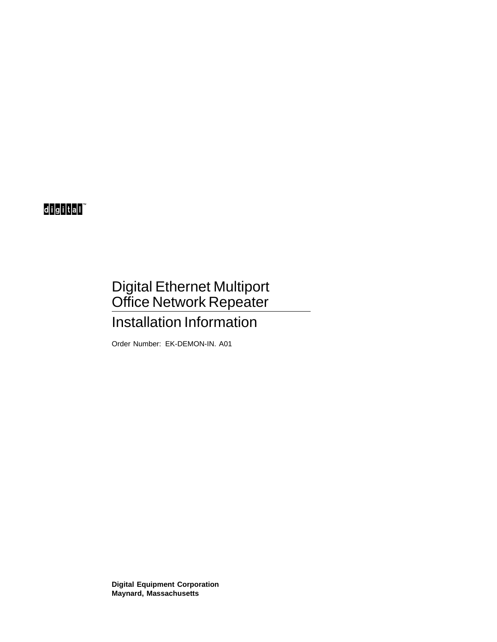## digital

# Digital Ethernet Multiport Office Network Repeater Installation Information

Order Number: EK-DEMON-IN. A01

**Digital Equipment Corporation Maynard, Massachusetts**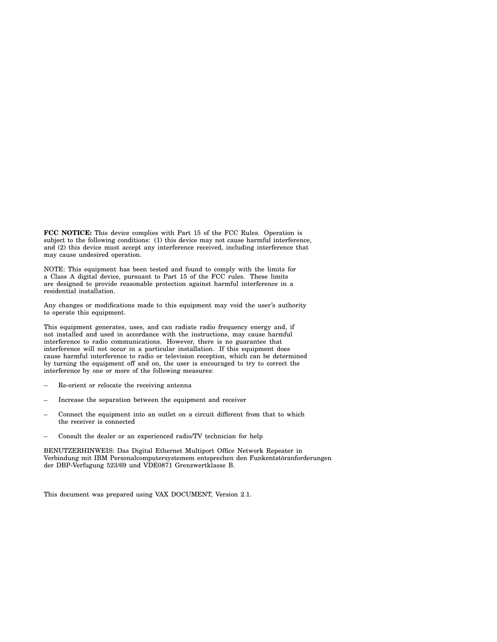**FCC NOTICE:** This device complies with Part 15 of the FCC Rules. Operation is subject to the following conditions: (1) this device may not cause harmful interference, and (2) this device must accept any interference received, including interference that may cause undesired operation.

NOTE: This equipment has been tested and found to comply with the limits for a Class A digital device, pursuant to Part 15 of the FCC rules. These limits are designed to provide reasonable protection against harmful interference in a residential installation.

Any changes or modifications made to this equipment may void the user's authority to operate this equipment.

This equipment generates, uses, and can radiate radio frequency energy and, if not installed and used in accordance with the instructions, may cause harmful interference to radio communications. However, there is no guarantee that interference will not occur in a particular installation. If this equipment does cause harmful interference to radio or television reception, which can be determined by turning the equipment off and on, the user is encouraged to try to correct the interference by one or more of the following measures:

- Re-orient or relocate the receiving antenna
- Increase the separation between the equipment and receiver
- Connect the equipment into an outlet on a circuit different from that to which the receiver is connected
- Consult the dealer or an experienced radio/TV technician for help

BENUTZERHINWEIS: Das Digital Ethernet Multiport Office Network Repeater in Verbindung mit IBM Personalcomputersystemem entsprechen den Funkentstöranforderungen der DBP-Verfugung 523/69 und VDE0871 Grenzwertklasse B.

This document was prepared using VAX DOCUMENT, Version 2.1.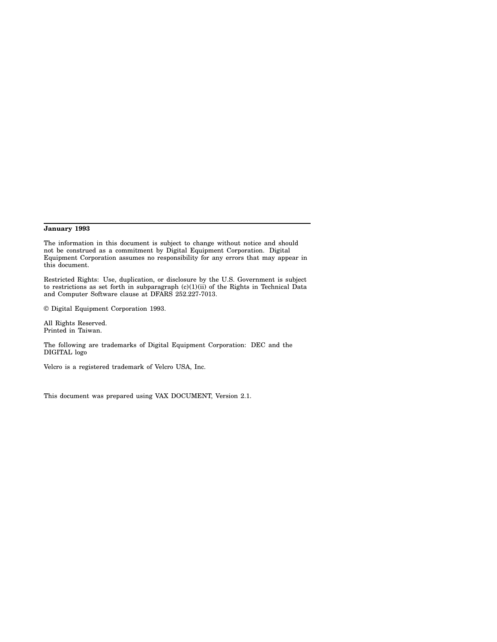#### **January 1993**

The information in this document is subject to change without notice and should not be construed as a commitment by Digital Equipment Corporation. Digital Equipment Corporation assumes no responsibility for any errors that may appear in this document.

Restricted Rights: Use, duplication, or disclosure by the U.S. Government is subject to restrictions as set forth in subparagraph (c)(1)(ii) of the Rights in Technical Data and Computer Software clause at DFARS 252.227-7013.

© Digital Equipment Corporation 1993.

All Rights Reserved. Printed in Taiwan.

The following are trademarks of Digital Equipment Corporation: DEC and the DIGITAL logo

Velcro is a registered trademark of Velcro USA, Inc.

This document was prepared using VAX DOCUMENT, Version 2.1.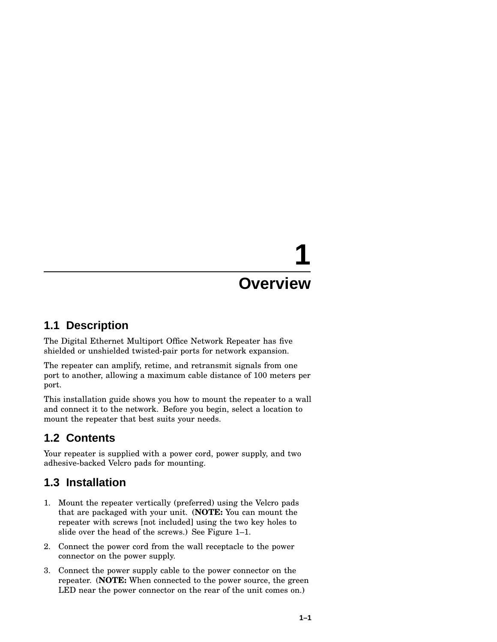# **1 Overview**

#### **1.1 Description**

The Digital Ethernet Multiport Office Network Repeater has five shielded or unshielded twisted-pair ports for network expansion.

The repeater can amplify, retime, and retransmit signals from one port to another, allowing a maximum cable distance of 100 meters per port.

This installation guide shows you how to mount the repeater to a wall and connect it to the network. Before you begin, select a location to mount the repeater that best suits your needs.

### **1.2 Contents**

Your repeater is supplied with a power cord, power supply, and two adhesive-backed Velcro pads for mounting.

### **1.3 Installation**

- 1. Mount the repeater vertically (preferred) using the Velcro pads that are packaged with your unit. (**NOTE:** You can mount the repeater with screws [not included] using the two key holes to slide over the head of the screws.) See Figure 1–1.
- 2. Connect the power cord from the wall receptacle to the power connector on the power supply.
- 3. Connect the power supply cable to the power connector on the repeater. (**NOTE:** When connected to the power source, the green LED near the power connector on the rear of the unit comes on.)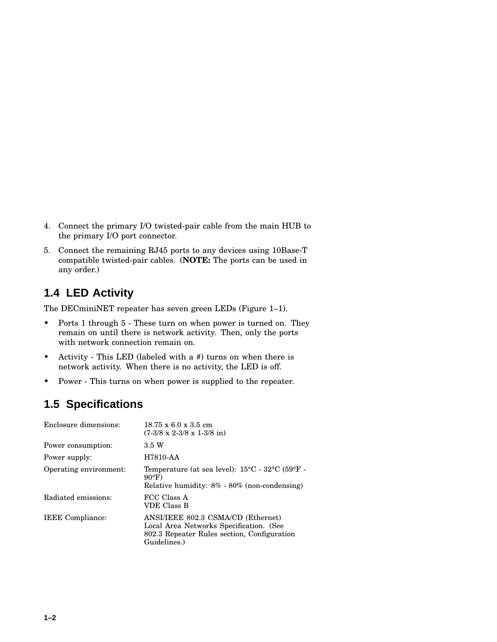- 4. Connect the primary I/O twisted-pair cable from the main HUB to the primary I/O port connector.
- 5. Connect the remaining RJ45 ports to any devices using 10Base-T compatible twisted-pair cables. (**NOTE:** The ports can be used in any order.)

## **1.4 LED Activity**

The DECminiNET repeater has seven green LEDs (Figure 1–1).

- Ports 1 through 5 These turn on when power is turned on. They remain on until there is network activity. Then, only the ports with network connection remain on.
- Activity This LED (labeled with a #) turns on when there is network activity. When there is no activity, the LED is off.
- Power This turns on when power is supplied to the repeater.

### **1.5 Specifications**

| Enclosure dimensions:   | $18.75 \times 6.0 \times 3.5$ cm<br>$(7-3/8 \times 2-3/8 \times 1-3/8)$ in                                                                              |
|-------------------------|---------------------------------------------------------------------------------------------------------------------------------------------------------|
| Power consumption:      | 3.5 W                                                                                                                                                   |
| Power supply:           | H7810-AA                                                                                                                                                |
| Operating environment:  | Temperature (at sea level): $15^{\circ}$ C - $32^{\circ}$ C (59 $^{\circ}$ F -<br>$90^{\circ}$ F)<br>Relative humidity: $8\%$ - $80\%$ (non-condensing) |
| Radiated emissions:     | FCC Class A<br>VDE Class B                                                                                                                              |
| <b>IEEE</b> Compliance: | ANSI/IEEE 802.3 CSMA/CD (Ethernet)<br>Local Area Networks Specification. (See<br>802.3 Repeater Rules section, Configuration<br>Guidelines.)            |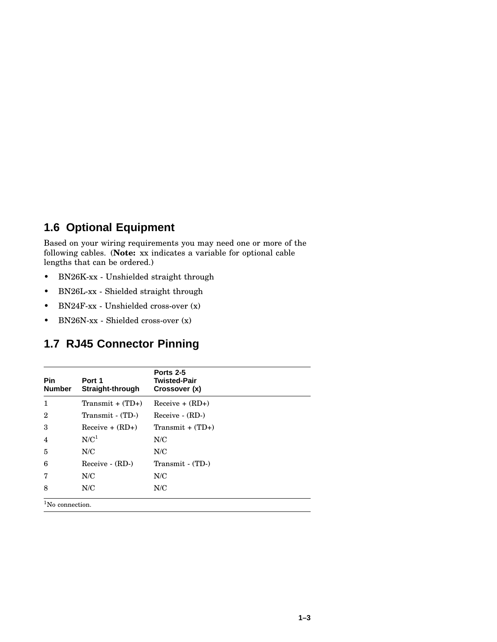### **1.6 Optional Equipment**

Based on your wiring requirements you may need one or more of the following cables. (**Note:** xx indicates a variable for optional cable lengths that can be ordered.)

- BN26K-xx Unshielded straight through
- BN26L-xx Shielded straight through
- BN24F-xx Unshielded cross-over (x)
- BN26N-xx Shielded cross-over (x)

#### **1.7 RJ45 Connector Pinning**

| <b>Pin</b><br><b>Number</b> | Port 1<br>Straight-through | Ports 2-5<br><b>Twisted-Pair</b><br>Crossover (x) |
|-----------------------------|----------------------------|---------------------------------------------------|
| 1                           | Transmit + $(TD+)$         | $Receive + (RD+)$                                 |
| $\overline{2}$              | Transmit - (TD-)           | Receive - (RD-)                                   |
| 3                           | $Receive + (RD+)$          | $Transmit + (TD+)$                                |
| 4                           | N/C <sup>1</sup>           | N/C                                               |
| 5                           | N/C                        | N/C                                               |
| 6                           | Receive - (RD-)            | Transmit - (TD-)                                  |
| 7                           | N/C                        | N/C                                               |
| 8                           | N/C                        | N/C                                               |
| $1$ No connection.          |                            |                                                   |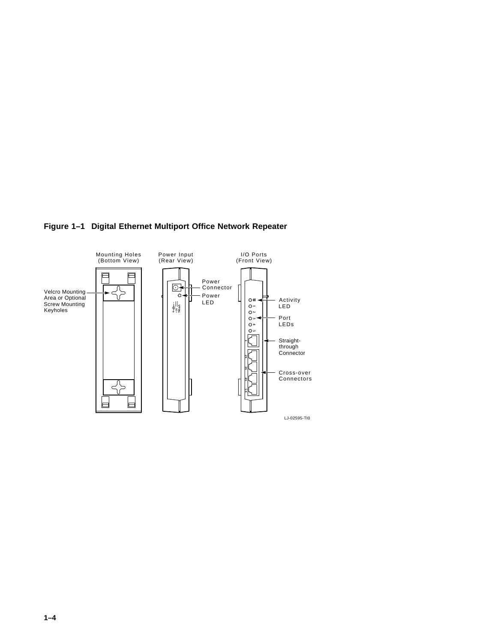

#### **Figure 1–1 Digital Ethernet Multiport Office Network Repeater**